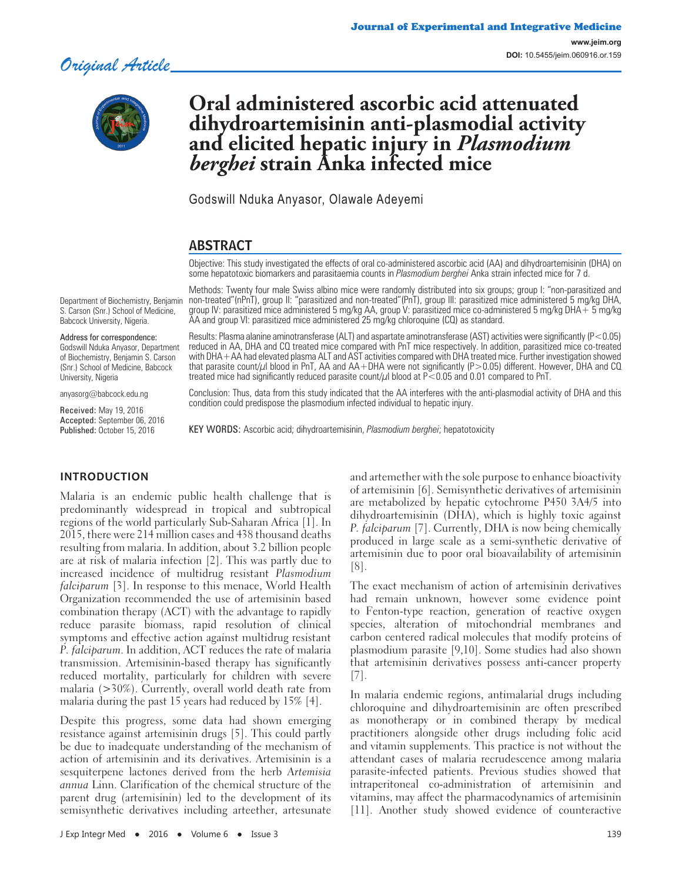

# **Oral administered ascorbic acid attenuated dihydroartemisinin anti-plasmodial activity and elicited hepatic injury in** *Plasmodium berghei* **strain Anka infected mice**

Godswill Nduka Anyasor, Olawale Adeyemi

# ABSTRACT

Objective: This study investigated the effects of oral co-administered ascorbic acid (AA) and dihydroartemisinin (DHA) on some hepatotoxic biomarkers and parasitaemia counts in *Plasmodium berghei* Anka strain infected mice for 7 d.

Department of Biochemistry, Benjamin S. Carson (Snr.) School of Medicine, Babcock University, Nigeria.

#### Address for correspondence:

Godswill Nduka Anyasor, Department of Biochemistry, Benjamin S. Carson (Snr.) School of Medicine, Babcock University, Nigeria

anyasorg@babcock.edu.ng

Received: May 19, 2016 Accepted: September 06, 2016 Published: October 15, 2016

Methods: Twenty four male Swiss albino mice were randomly distributed into six groups; group I: "non-parasitized and non-treated"(nPnT), group II: "parasitized and non-treated"(PnT), group III: parasitized mice administered 5 mg/kg DHA, group IV: parasitized mice administered 5 mg/kg AA, group V: parasitized mice co-administered 5 mg/kg DHA+ 5 mg/kg AA and group VI: parasitized mice administered 25 mg/kg chloroquine (CQ) as standard.

Results: Plasma alanine aminotransferase (ALT) and aspartate aminotransferase (AST) activities were significantly (P<0.05) reduced in AA, DHA and CQ treated mice compared with PnT mice respectively. In addition, parasitized mice co-treated with DHA+AA had elevated plasma ALT and AST activities compared with DHA treated mice. Further investigation showed that parasite count/μl blood in PnT, AA and AA+DHA were not significantly (P>0.05) different. However, DHA and CQ treated mice had significantly reduced parasite count/ $\mu$ l blood at P<0.05 and 0.01 compared to PnT.

Conclusion: Thus, data from this study indicated that the AA interferes with the anti-plasmodial activity of DHA and this condition could predispose the plasmodium infected individual to hepatic injury.

KEY WORDS: Ascorbic acid; dihydroartemisinin, *Plasmodium berghei*; hepatotoxicity

#### **INTRODUCTION**

Malaria is an endemic public health challenge that is predominantly widespread in tropical and subtropical regions of the world particularly Sub-Saharan Africa [1]. In 2015, there were 214 million cases and 438 thousand deaths resulting from malaria. In addition, about 3.2 billion people are at risk of malaria infection [2]. This was partly due to increased incidence of multidrug resistant Plasmodium falciparum [3]. In response to this menace, World Health Organization recommended the use of artemisinin based combination therapy (ACT) with the advantage to rapidly reduce parasite biomass, rapid resolution of clinical symptoms and effective action against multidrug resistant P. falciparum. In addition, ACT reduces the rate of malaria transmission. Artemisinin-based therapy has significantly reduced mortality, particularly for children with severe malaria (>30%). Currently, overall world death rate from malaria during the past 15 years had reduced by 15% [4].

Despite this progress, some data had shown emerging resistance against artemisinin drugs [5]. This could partly be due to inadequate understanding of the mechanism of action of artemisinin and its derivatives. Artemisinin is a sesquiterpene lactones derived from the herb Artemisia annua Linn. Clarification of the chemical structure of the parent drug (artemisinin) led to the development of its semisynthetic derivatives including arteether, artesunate

and artemether with the sole purpose to enhance bioactivity of artemisinin [6]. Semisynthetic derivatives of artemisinin are metabolized by hepatic cytochrome P450 3A4/5 into dihydroartemisinin (DHA), which is highly toxic against P. falciparum [7]. Currently, DHA is now being chemically produced in large scale as a semi-synthetic derivative of artemisinin due to poor oral bioavailability of artemisinin [8].

The exact mechanism of action of artemisinin derivatives had remain unknown, however some evidence point to Fenton-type reaction, generation of reactive oxygen species, alteration of mitochondrial membranes and carbon centered radical molecules that modify proteins of plasmodium parasite [9,10]. Some studies had also shown that artemisinin derivatives possess anti-cancer property [7].

In malaria endemic regions, antimalarial drugs including chloroquine and dihydroartemisinin are often prescribed as monotherapy or in combined therapy by medical practitioners alongside other drugs including folic acid and vitamin supplements. This practice is not without the attendant cases of malaria recrudescence among malaria parasite-infected patients. Previous studies showed that intraperitoneal co-administration of artemisinin and vitamins, may affect the pharmacodynamics of artemisinin [11]. Another study showed evidence of counteractive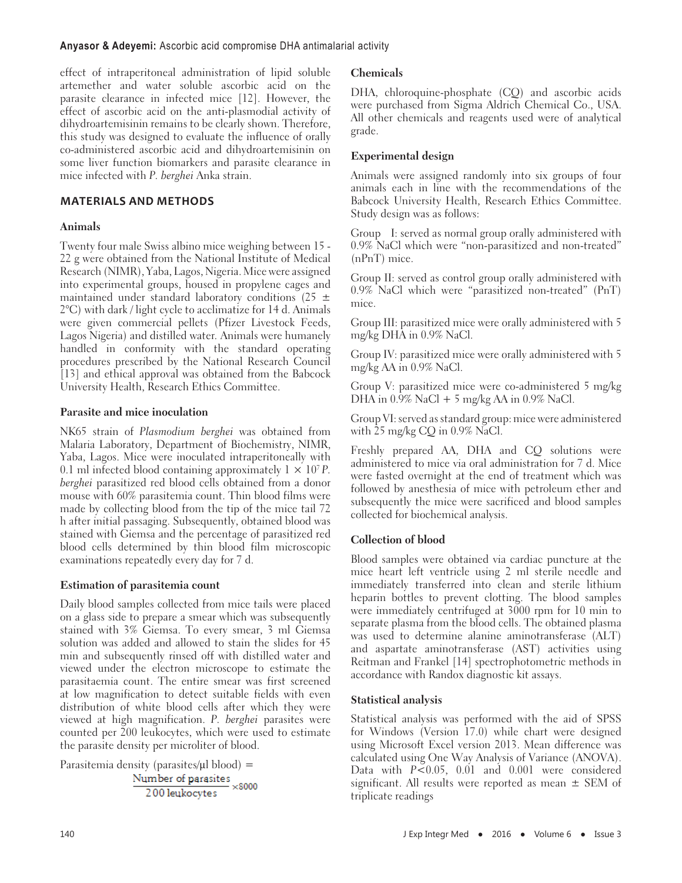#### **Anyasor & Adeyemi:** Ascorbic acid compromise DHA antimalarial activity

effect of intraperitoneal administration of lipid soluble artemether and water soluble ascorbic acid on the parasite clearance in infected mice [12]. However, the effect of ascorbic acid on the anti-plasmodial activity of dihydroartemisinin remains to be clearly shown. Therefore, this study was designed to evaluate the influence of orally co-administered ascorbic acid and dihydroartemisinin on some liver function biomarkers and parasite clearance in mice infected with P. berghei Anka strain.

## **MATERIALS AND METHODS**

# **Animals**

Twenty four male Swiss albino mice weighing between 15 - 22 g were obtained from the National Institute of Medical Research (NIMR), Yaba, Lagos, Nigeria. Mice were assigned into experimental groups, housed in propylene cages and maintained under standard laboratory conditions (25  $\pm$ 2°C) with dark / light cycle to acclimatize for 14 d. Animals were given commercial pellets (Pfizer Livestock Feeds, Lagos Nigeria) and distilled water. Animals were humanely handled in conformity with the standard operating procedures prescribed by the National Research Council [13] and ethical approval was obtained from the Babcock University Health, Research Ethics Committee.

## **Parasite and mice inoculation**

NK65 strain of Plasmodium berghei was obtained from Malaria Laboratory, Department of Biochemistry, NIMR, Yaba, Lagos. Mice were inoculated intraperitoneally with 0.1 ml infected blood containing approximately  $1 \times 10^7 P$ . berghei parasitized red blood cells obtained from a donor mouse with 60% parasitemia count. Thin blood films were made by collecting blood from the tip of the mice tail 72 h after initial passaging. Subsequently, obtained blood was stained with Giemsa and the percentage of parasitized red blood cells determined by thin blood film microscopic examinations repeatedly every day for 7 d.

## **Estimation of parasitemia count**

Daily blood samples collected from mice tails were placed on a glass side to prepare a smear which was subsequently stained with 3% Giemsa. To every smear, 3 ml Giemsa solution was added and allowed to stain the slides for 45 min and subsequently rinsed off with distilled water and viewed under the electron microscope to estimate the parasitaemia count. The entire smear was first screened at low magnification to detect suitable fields with even distribution of white blood cells after which they were viewed at high magnification. P. berghei parasites were counted per 200 leukocytes, which were used to estimate the parasite density per microliter of blood.

Parasitemia density (parasites/μl blood) =<br>Number of parasites<br> $\times$ 8000 200 leukocytes

# **Chemicals**

DHA, chloroquine-phosphate (CQ) and ascorbic acids were purchased from Sigma Aldrich Chemical Co., USA. All other chemicals and reagents used were of analytical grade.

# **Experimental design**

Animals were assigned randomly into six groups of four animals each in line with the recommendations of the Babcock University Health, Research Ethics Committee. Study design was as follows:

Group I: served as normal group orally administered with 0.9% NaCl which were "non-parasitized and non-treated" (nPnT) mice.

Group II: served as control group orally administered with 0.9% NaCl which were "parasitized non-treated" (PnT) mice.

Group III: parasitized mice were orally administered with 5 mg/kg DHA in 0.9% NaCl.

Group IV: parasitized mice were orally administered with 5 mg/kg AA in 0.9% NaCl.

Group V: parasitized mice were co-administered 5 mg/kg DHA in  $0.9\%$  NaCl + 5 mg/kg AA in  $0.9\%$  NaCl.

Group VI: served as standard group: mice were administered with 25 mg/kg  $CQ$  in 0.9% NaCl.

Freshly prepared AA, DHA and CQ solutions were administered to mice via oral administration for 7 d. Mice were fasted overnight at the end of treatment which was followed by anesthesia of mice with petroleum ether and subsequently the mice were sacrificed and blood samples collected for biochemical analysis.

# **Collection of blood**

Blood samples were obtained via cardiac puncture at the mice heart left ventricle using 2 ml sterile needle and immediately transferred into clean and sterile lithium heparin bottles to prevent clotting. The blood samples were immediately centrifuged at 3000 rpm for 10 min to separate plasma from the blood cells. The obtained plasma was used to determine alanine aminotransferase (ALT) and aspartate aminotransferase (AST) activities using Reitman and Frankel [14] spectrophotometric methods in accordance with Randox diagnostic kit assays.

## **Statistical analysis**

Statistical analysis was performed with the aid of SPSS for Windows (Version 17.0) while chart were designed using Microsoft Excel version 2013. Mean difference was calculated using One Way Analysis of Variance (ANOVA). Data with P<0.05, 0.01 and 0.001 were considered significant. All results were reported as mean  $\pm$  SEM of triplicate readings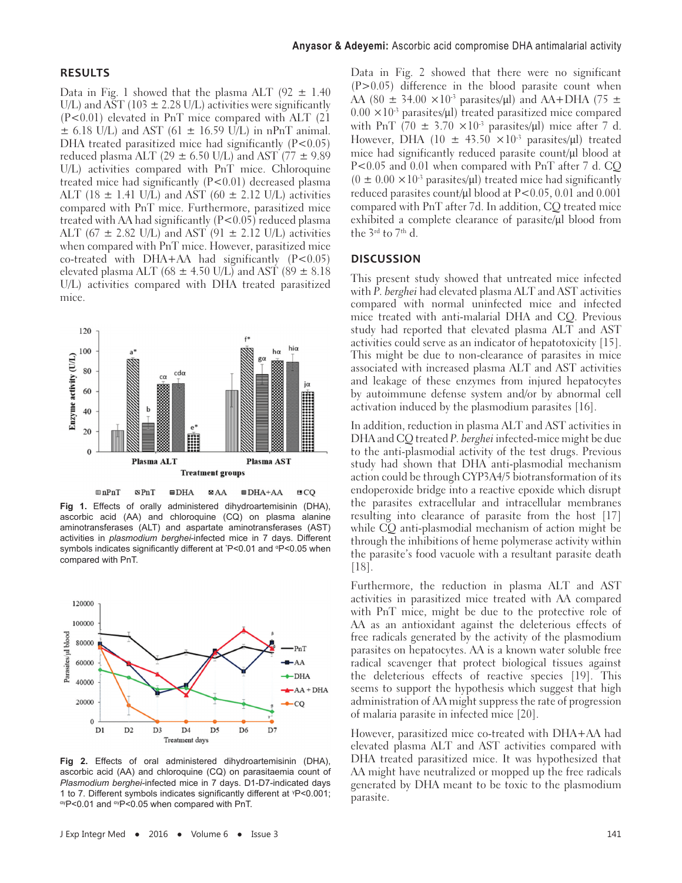#### **RESULTS**

Data in Fig. 1 showed that the plasma ALT (92  $\pm$  1.40 U/L) and AST (103  $\pm$  2.28 U/L) activities were significantly (P<0.01) elevated in PnT mice compared with ALT (21  $\pm$  6.18 U/L) and AST (61  $\pm$  16.59 U/L) in nPnT animal. DHA treated parasitized mice had significantly  $(P<0.05)$ reduced plasma ALT (29  $\pm$  6.50 U/L) and AST (77  $\pm$  9.89 U/L) activities compared with PnT mice. Chloroquine treated mice had significantly (P<0.01) decreased plasma ALT (18  $\pm$  1.41 U/L) and AST (60  $\pm$  2.12 U/L) activities compared with PnT mice. Furthermore, parasitized mice treated with AA had significantly  $(P<0.05)$  reduced plasma ALT (67  $\pm$  2.82 U/L) and AST (91  $\pm$  2.12 U/L) activities when compared with PnT mice. However, parasitized mice co-treated with DHA+AA had significantly  $(P<0.05)$ elevated plasma ALT (68  $\pm$  4.50 U/L) and AST (89  $\pm$  8.18 U/L) activities compared with DHA treated parasitized mice.



 $m$ nPnT  $\mathbf{S}$ PnT  $\blacksquare$ DHA  $\mathbf{BAA}$  $\boxtimes$  DHA+AA  $BCO$ 

**Fig 1.** Effects of orally administered dihydroartemisinin (DHA), ascorbic acid (AA) and chloroquine (CQ) on plasma alanine aminotransferases (ALT) and aspartate aminotransferases (AST) activities in *plasmodium berghei*-infected mice in 7 days. Different symbols indicates significantly different at  $P$ <0.01 and  $P$ <0.05 when compared with PnT.



**Fig 2.** Effects of oral administered dihydroartemisinin (DHA), ascorbic acid (AA) and chloroquine (CQ) on parasitaemia count of *Plasmodium berghei-*infected mice in 7 days. D1-D7-indicated days 1 to 7. Different symbols indicates significantly different at <sup>γ</sup>P<0.001; αγP<0.01 and αγP<0.05 when compared with PnT.

Data in Fig. 2 showed that there were no significant  $(P>0.05)$  difference in the blood parasite count when AA (80  $\pm$  34.00  $\times$ 10<sup>-3</sup> parasites/ul) and AA+DHA (75  $\pm$  $0.00 \times 10^{-3}$  parasites/ $\mu$ l) treated parasitized mice compared with PnT  $(70 \pm 3.70 \times 10^3 \text{ parasites/}\mu\text{I})$  mice after 7 d. However, DHA (10  $\pm$  43.50  $\times$ 10<sup>-3</sup> parasites/µl) treated mice had significantly reduced parasite count/μl blood at P<0.05 and 0.01 when compared with PnT after 7 d. CQ  $(0 \pm 0.00 \times 10^{-3}$  parasites/ul) treated mice had significantly reduced parasites count/μl blood at P<0.05, 0.01 and 0.001 compared with PnT after 7d. In addition, CQ treated mice exhibited a complete clearance of parasite/μl blood from the 3<sup>rd</sup> to 7<sup>th</sup> d.

#### **DISCUSSION**

This present study showed that untreated mice infected with P. berghei had elevated plasma ALT and AST activities compared with normal uninfected mice and infected mice treated with anti-malarial DHA and CQ. Previous study had reported that elevated plasma ALT and AST activities could serve as an indicator of hepatotoxicity [15]. This might be due to non-clearance of parasites in mice associated with increased plasma ALT and AST activities and leakage of these enzymes from injured hepatocytes by autoimmune defense system and/or by abnormal cell activation induced by the plasmodium parasites [16].

In addition, reduction in plasma ALT and AST activities in DHA and CQ treated P. berghei infected-mice might be due to the anti-plasmodial activity of the test drugs. Previous study had shown that DHA anti-plasmodial mechanism action could be through CYP3A4/5 biotransformation of its endoperoxide bridge into a reactive epoxide which disrupt the parasites extracellular and intracellular membranes resulting into clearance of parasite from the host [17] while CQ anti-plasmodial mechanism of action might be through the inhibitions of heme polymerase activity within the parasite's food vacuole with a resultant parasite death [18].

Furthermore, the reduction in plasma ALT and AST activities in parasitized mice treated with AA compared with PnT mice, might be due to the protective role of AA as an antioxidant against the deleterious effects of free radicals generated by the activity of the plasmodium parasites on hepatocytes. AA is a known water soluble free radical scavenger that protect biological tissues against the deleterious effects of reactive species [19]. This seems to support the hypothesis which suggest that high administration of AA might suppress the rate of progression of malaria parasite in infected mice [20].

However, parasitized mice co-treated with DHA+AA had elevated plasma ALT and AST activities compared with DHA treated parasitized mice. It was hypothesized that AA might have neutralized or mopped up the free radicals generated by DHA meant to be toxic to the plasmodium parasite.